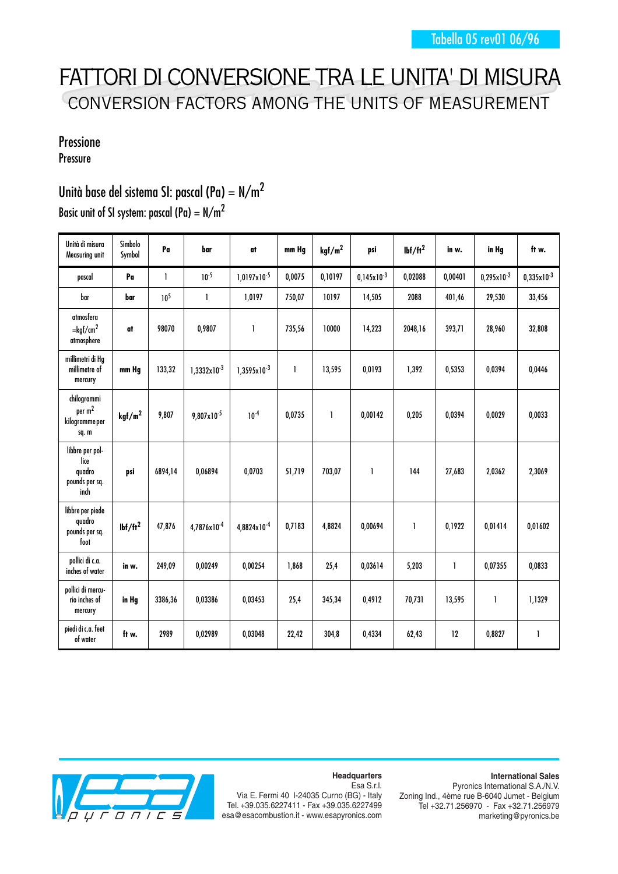# FATTORI DI CONVERSIONE TRA LE UNITA' DI MISURA CONVERSION FACTORS AMONG THE UNITS OF MEASUREMENT

### Pressione

Pressure

## Unità base del sistema SI: pascal (Pa) =  $N/m^2$

| Basic unit of SI system: pascal (Pa) = $N/m^2$ |  |  |  |  |  |  |  |
|------------------------------------------------|--|--|--|--|--|--|--|
|------------------------------------------------|--|--|--|--|--|--|--|

| Unità di misura<br>Measuring unit                           | Simbolo<br>Symbol  | Pa              | bar                     | at               | mm Hg        | kgf/m <sup>2</sup> | psi             | $Ibf/ft^2$ | in w.   | in Hg           | ft w.           |
|-------------------------------------------------------------|--------------------|-----------------|-------------------------|------------------|--------------|--------------------|-----------------|------------|---------|-----------------|-----------------|
| pascal                                                      | Pa                 | $\mathbf{I}$    | $10^{-5}$               | $1,0197x10^{-5}$ | 0,0075       | 0,10197            | $0,145x10^{-3}$ | 0,02088    | 0,00401 | $0,295x10^{-3}$ | $0,335x10^{-3}$ |
| bar                                                         | bar                | 10 <sup>5</sup> | 1                       | 1,0197           | 750,07       | 10197              | 14,505          | 2088       | 401,46  | 29,530          | 33,456          |
| atmosfera<br>$=$ kgf/cm <sup>2</sup><br>atmosphere          | at                 | 98070           | 0,9807                  | $\mathbf{1}$     | 735,56       | 10000              | 14,223          | 2048,16    | 393,71  | 28,960          | 32,808          |
| millimetri di Hg<br>millimetre of<br>mercury                | mm Hg              | 133,32          | $1,3332x10^{-3}$        | $1,3595x10^{-3}$ | $\mathbf{1}$ | 13,595             | 0,0193          | 1,392      | 0,5353  | 0,0394          | 0,0446          |
| chilogrammi<br>per $m2$<br>kilogramme per<br>sq.m           | kgf/m <sup>2</sup> | 9,807           | $9,807 \times 10^{-5}$  | $10^{-4}$        | 0,0735       | 1                  | 0,00142         | 0,205      | 0,0394  | 0,0029          | 0,0033          |
| libbre per pol-<br>lice<br>quadro<br>pounds per sq.<br>inch | psi                | 6894,14         | 0,06894                 | 0,0703           | 51,719       | 703,07             | 1               | 144        | 27,683  | 2,0362          | 2,3069          |
| libbre per piede<br>quadro<br>pounds per sq.<br>foot        | $Ibf/ft^2$         | 47,876          | 4,7876x10 <sup>-4</sup> | 4,8824x10-4      | 0,7183       | 4,8824             | 0,00694         | 1          | 0,1922  | 0,01414         | 0,01602         |
| pollici di c.a.<br>inches of water                          | in w.              | 249,09          | 0,00249                 | 0,00254          | 1,868        | 25,4               | 0,03614         | 5,203      | 1       | 0,07355         | 0,0833          |
| pollici di mercu-<br>rio inches of<br>mercury               | in Hg              | 3386,36         | 0,03386                 | 0,03453          | 25,4         | 345,34             | 0,4912          | 70,731     | 13,595  | 1               | 1,1329          |
| piedi di c.a. feet<br>of water                              | ft w.              | 2989            | 0,02989                 | 0,03048          | 22,42        | 304,8              | 0,4334          | 62,43      | 12      | 0,8827          | $\mathbf{I}$    |



**Headquarters**

**International Sales** Pyronics International S.A./N.V. Zoning Ind., 4ème rue B-6040 Jumet - Belgium Tel +32.71.256970 - Fax +32.71.256979 marketing@pyronics.be

#### Esa S.r.l. Via E. Fermi 40 I-24035 Curno (BG) - Italy Tel. +39.035.6227411 - Fax +39.035.6227499 esa@esacombustion.it - www.esapyronics.com